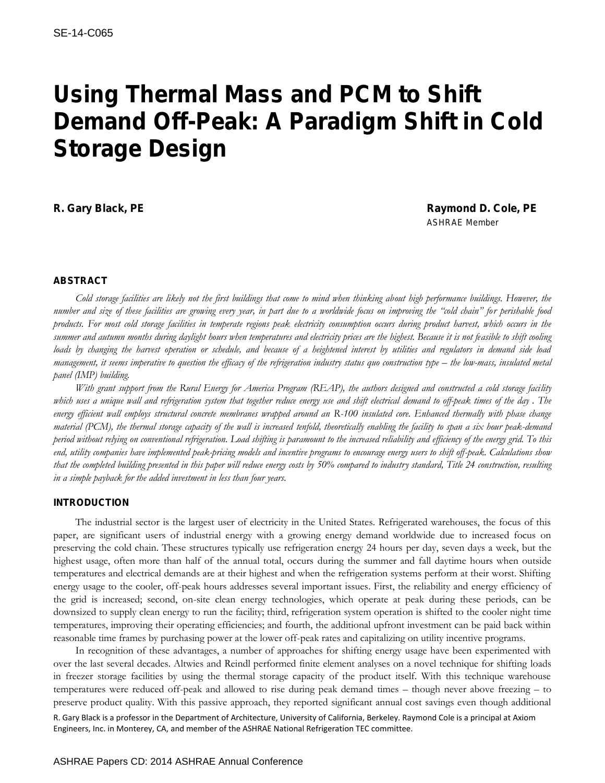# Using Thermal Mass and PCM to Shift Demand Off-Peak: A Paradigm Shift in Cold Storage Design

R. Gary Black, PE **Raymond D. Cole, PE** Raymond D. Cole, PE *ASHRAE Member*

## ABSTRACT

*Cold storage facilities are likely not the first buildings that come to mind when thinking about high performance buildings. However, the number and size of these facilities are growing every year, in part due to a worldwide focus on improving the "cold chain" for perishable food products. For most cold storage facilities in temperate regions peak electricity consumption occurs during product harvest, which occurs in the summer and autumn months during daylight hours when temperatures and electricity prices are the highest. Because it is not feasible to shift cooling loads by changing the harvest operation or schedule, and because of a heightened interest by utilities and regulators in demand side load management, it seems imperative to question the efficacy of the refrigeration industry status quo construction type – the low-mass, insulated metal panel (IMP) building.* 

*With grant support from the Rural Energy for America Program (REAP), the authors designed and constructed a cold storage facility which uses a unique wall and refrigeration system that together reduce energy use and shift electrical demand to off-peak times of the day . The*  energy efficient wall employs structural concrete membranes wrapped around an R-100 insulated core. Enhanced thermally with phase change *material (PCM), the thermal storage capacity of the wall is increased tenfold, theoretically enabling the facility to span a six hour peak-demand period without relying on conventional refrigeration. Load shifting is paramount to the increased reliability and efficiency of the energy grid. To this end, utility companies have implemented peak-pricing models and incentive programs to encourage energy users to shift off-peak. Calculations show that the completed building presented in this paper will reduce energy costs by 50% compared to industry standard, Title 24 construction, resulting in a simple payback for the added investment in less than four years.*

## INTRODUCTION

The industrial sector is the largest user of electricity in the United States. Refrigerated warehouses, the focus of this paper, are significant users of industrial energy with a growing energy demand worldwide due to increased focus on preserving the cold chain. These structures typically use refrigeration energy 24 hours per day, seven days a week, but the highest usage, often more than half of the annual total, occurs during the summer and fall daytime hours when outside temperatures and electrical demands are at their highest and when the refrigeration systems perform at their worst. Shifting energy usage to the cooler, off-peak hours addresses several important issues. First, the reliability and energy efficiency of the grid is increased; second, on-site clean energy technologies, which operate at peak during these periods, can be downsized to supply clean energy to run the facility; third, refrigeration system operation is shifted to the cooler night time temperatures, improving their operating efficiencies; and fourth, the additional upfront investment can be paid back within reasonable time frames by purchasing power at the lower off-peak rates and capitalizing on utility incentive programs.

In recognition of these advantages, a number of approaches for shifting energy usage have been experimented with over the last several decades. Altwies and Reindl performed finite element analyses on a novel technique for shifting loads in freezer storage facilities by using the thermal storage capacity of the product itself. With this technique warehouse temperatures were reduced off-peak and allowed to rise during peak demand times – though never above freezing – to preserve product quality. With this passive approach, they reported significant annual cost savings even though additional

R. Gary Black is a professor in the Department of Architecture, University of California, Berkeley. Raymond Cole is a principal at Axiom Engineers, Inc. in Monterey, CA, and member of the ASHRAE National Refrigeration TEC committee.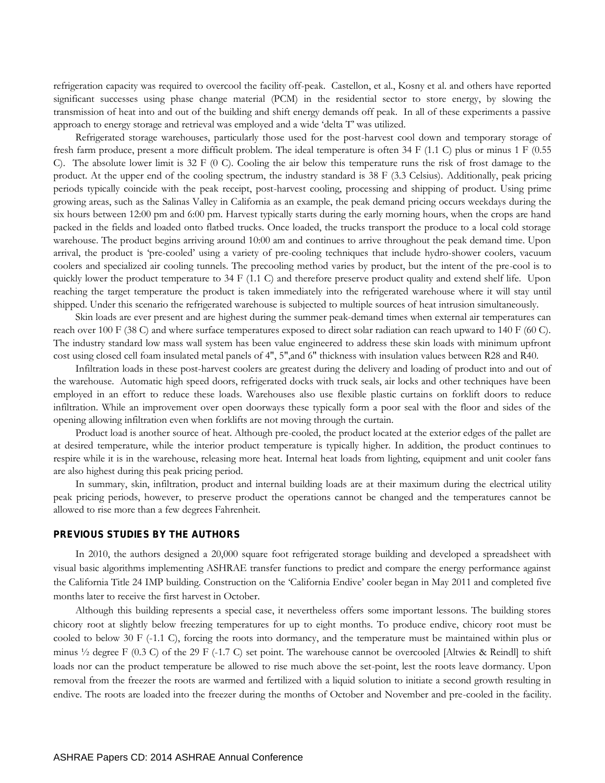refrigeration capacity was required to overcool the facility off-peak. Castellon, et al., Kosny et al. and others have reported significant successes using phase change material (PCM) in the residential sector to store energy, by slowing the transmission of heat into and out of the building and shift energy demands off peak. In all of these experiments a passive approach to energy storage and retrieval was employed and a wide 'delta T' was utilized.

Refrigerated storage warehouses, particularly those used for the post-harvest cool down and temporary storage of fresh farm produce, present a more difficult problem. The ideal temperature is often 34 F (1.1 C) plus or minus 1 F (0.55 C). The absolute lower limit is 32 F (0 C). Cooling the air below this temperature runs the risk of frost damage to the product. At the upper end of the cooling spectrum, the industry standard is 38 F (3.3 Celsius). Additionally, peak pricing periods typically coincide with the peak receipt, post-harvest cooling, processing and shipping of product. Using prime growing areas, such as the Salinas Valley in California as an example, the peak demand pricing occurs weekdays during the six hours between 12:00 pm and 6:00 pm. Harvest typically starts during the early morning hours, when the crops are hand packed in the fields and loaded onto flatbed trucks. Once loaded, the trucks transport the produce to a local cold storage warehouse. The product begins arriving around 10:00 am and continues to arrive throughout the peak demand time. Upon arrival, the product is 'pre-cooled' using a variety of pre-cooling techniques that include hydro-shower coolers, vacuum coolers and specialized air cooling tunnels. The precooling method varies by product, but the intent of the pre-cool is to quickly lower the product temperature to  $34$  F (1.1 C) and therefore preserve product quality and extend shelf life. Upon reaching the target temperature the product is taken immediately into the refrigerated warehouse where it will stay until shipped. Under this scenario the refrigerated warehouse is subjected to multiple sources of heat intrusion simultaneously.

Skin loads are ever present and are highest during the summer peak-demand times when external air temperatures can reach over 100 F (38 C) and where surface temperatures exposed to direct solar radiation can reach upward to 140 F (60 C). The industry standard low mass wall system has been value engineered to address these skin loads with minimum upfront cost using closed cell foam insulated metal panels of 4", 5",and 6" thickness with insulation values between R28 and R40.

Infiltration loads in these post-harvest coolers are greatest during the delivery and loading of product into and out of the warehouse. Automatic high speed doors, refrigerated docks with truck seals, air locks and other techniques have been employed in an effort to reduce these loads. Warehouses also use flexible plastic curtains on forklift doors to reduce infiltration. While an improvement over open doorways these typically form a poor seal with the floor and sides of the opening allowing infiltration even when forklifts are not moving through the curtain.

Product load is another source of heat. Although pre-cooled, the product located at the exterior edges of the pallet are at desired temperature, while the interior product temperature is typically higher. In addition, the product continues to respire while it is in the warehouse, releasing more heat. Internal heat loads from lighting, equipment and unit cooler fans are also highest during this peak pricing period.

In summary, skin, infiltration, product and internal building loads are at their maximum during the electrical utility peak pricing periods, however, to preserve product the operations cannot be changed and the temperatures cannot be allowed to rise more than a few degrees Fahrenheit.

## PREVIOUS STUDIES BY THE AUTHORS

In 2010, the authors designed a 20,000 square foot refrigerated storage building and developed a spreadsheet with visual basic algorithms implementing ASHRAE transfer functions to predict and compare the energy performance against the California Title 24 IMP building. Construction on the 'California Endive' cooler began in May 2011 and completed five months later to receive the first harvest in October.

Although this building represents a special case, it nevertheless offers some important lessons. The building stores chicory root at slightly below freezing temperatures for up to eight months. To produce endive, chicory root must be cooled to below 30 F (-1.1 C), forcing the roots into dormancy, and the temperature must be maintained within plus or minus  $\frac{1}{2}$  degree F (0.3 C) of the 29 F (-1.7 C) set point. The warehouse cannot be overcooled [Altwies & Reindl] to shift loads nor can the product temperature be allowed to rise much above the set-point, lest the roots leave dormancy. Upon removal from the freezer the roots are warmed and fertilized with a liquid solution to initiate a second growth resulting in endive. The roots are loaded into the freezer during the months of October and November and pre-cooled in the facility.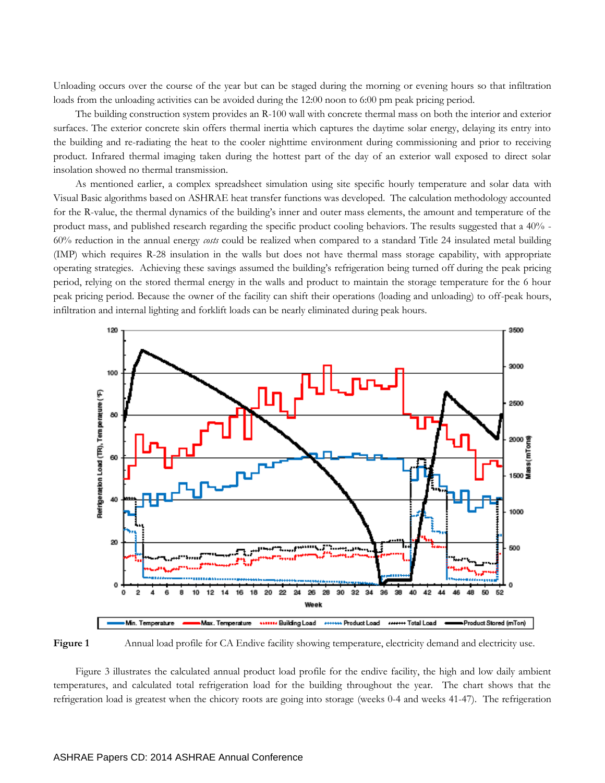Unloading occurs over the course of the year but can be staged during the morning or evening hours so that infiltration loads from the unloading activities can be avoided during the 12:00 noon to 6:00 pm peak pricing period.

The building construction system provides an R-100 wall with concrete thermal mass on both the interior and exterior surfaces. The exterior concrete skin offers thermal inertia which captures the daytime solar energy, delaying its entry into the building and re-radiating the heat to the cooler nighttime environment during commissioning and prior to receiving product. Infrared thermal imaging taken during the hottest part of the day of an exterior wall exposed to direct solar insolation showed no thermal transmission.

As mentioned earlier, a complex spreadsheet simulation using site specific hourly temperature and solar data with Visual Basic algorithms based on ASHRAE heat transfer functions was developed. The calculation methodology accounted for the R-value, the thermal dynamics of the building's inner and outer mass elements, the amount and temperature of the product mass, and published research regarding the specific product cooling behaviors. The results suggested that a 40% - 60% reduction in the annual energy *costs* could be realized when compared to a standard Title 24 insulated metal building (IMP) which requires R-28 insulation in the walls but does not have thermal mass storage capability, with appropriate operating strategies. Achieving these savings assumed the building's refrigeration being turned off during the peak pricing period, relying on the stored thermal energy in the walls and product to maintain the storage temperature for the 6 hour peak pricing period. Because the owner of the facility can shift their operations (loading and unloading) to off-peak hours, infiltration and internal lighting and forklift loads can be nearly eliminated during peak hours.



**Figure 1** Annual load profile for CA Endive facility showing temperature, electricity demand and electricity use.

Figure 3 illustrates the calculated annual product load profile for the endive facility, the high and low daily ambient temperatures, and calculated total refrigeration load for the building throughout the year. The chart shows that the refrigeration load is greatest when the chicory roots are going into storage (weeks 0-4 and weeks 41-47). The refrigeration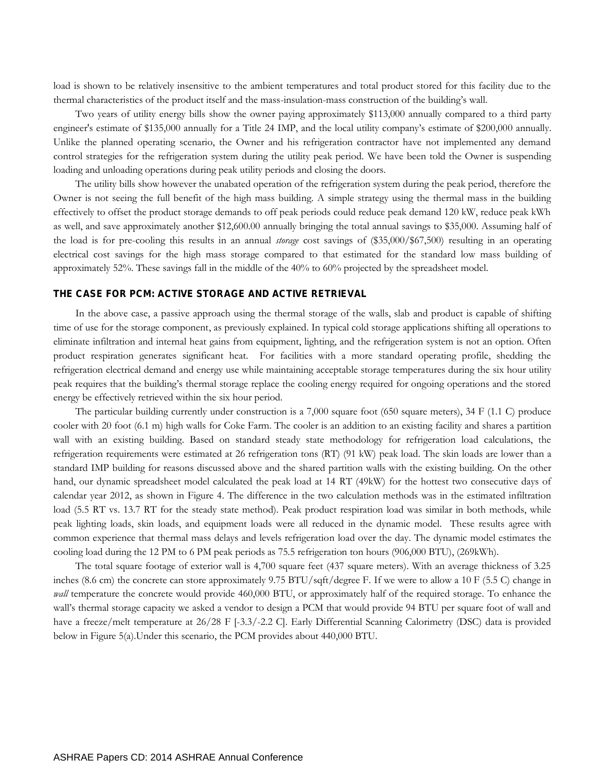load is shown to be relatively insensitive to the ambient temperatures and total product stored for this facility due to the thermal characteristics of the product itself and the mass-insulation-mass construction of the building's wall.

Two years of utility energy bills show the owner paying approximately \$113,000 annually compared to a third party engineer's estimate of \$135,000 annually for a Title 24 IMP, and the local utility company's estimate of \$200,000 annually. Unlike the planned operating scenario, the Owner and his refrigeration contractor have not implemented any demand control strategies for the refrigeration system during the utility peak period. We have been told the Owner is suspending loading and unloading operations during peak utility periods and closing the doors.

The utility bills show however the unabated operation of the refrigeration system during the peak period, therefore the Owner is not seeing the full benefit of the high mass building. A simple strategy using the thermal mass in the building effectively to offset the product storage demands to off peak periods could reduce peak demand 120 kW, reduce peak kWh as well, and save approximately another \$12,600.00 annually bringing the total annual savings to \$35,000. Assuming half of the load is for pre-cooling this results in an annual *storage* cost savings of (\$35,000/\$67,500) resulting in an operating electrical cost savings for the high mass storage compared to that estimated for the standard low mass building of approximately 52%. These savings fall in the middle of the 40% to 60% projected by the spreadsheet model.

#### THE CASE FOR PCM: ACTIVE STORAGE AND ACTIVE RETRIEVAL

In the above case, a passive approach using the thermal storage of the walls, slab and product is capable of shifting time of use for the storage component, as previously explained. In typical cold storage applications shifting all operations to eliminate infiltration and internal heat gains from equipment, lighting, and the refrigeration system is not an option. Often product respiration generates significant heat. For facilities with a more standard operating profile, shedding the refrigeration electrical demand and energy use while maintaining acceptable storage temperatures during the six hour utility peak requires that the building's thermal storage replace the cooling energy required for ongoing operations and the stored energy be effectively retrieved within the six hour period.

The particular building currently under construction is a 7,000 square foot (650 square meters), 34 F (1.1 C) produce cooler with 20 foot (6.1 m) high walls for Coke Farm. The cooler is an addition to an existing facility and shares a partition wall with an existing building. Based on standard steady state methodology for refrigeration load calculations, the refrigeration requirements were estimated at 26 refrigeration tons (RT) (91 kW) peak load. The skin loads are lower than a standard IMP building for reasons discussed above and the shared partition walls with the existing building. On the other hand, our dynamic spreadsheet model calculated the peak load at 14 RT (49kW) for the hottest two consecutive days of calendar year 2012, as shown in Figure 4. The difference in the two calculation methods was in the estimated infiltration load (5.5 RT vs. 13.7 RT for the steady state method). Peak product respiration load was similar in both methods, while peak lighting loads, skin loads, and equipment loads were all reduced in the dynamic model. These results agree with common experience that thermal mass delays and levels refrigeration load over the day. The dynamic model estimates the cooling load during the 12 PM to 6 PM peak periods as 75.5 refrigeration ton hours (906,000 BTU), (269kWh).

The total square footage of exterior wall is 4,700 square feet (437 square meters). With an average thickness of 3.25 inches (8.6 cm) the concrete can store approximately 9.75 BTU/sqft/degree F. If we were to allow a 10 F (5.5 C) change in *wall* temperature the concrete would provide 460,000 BTU, or approximately half of the required storage. To enhance the wall's thermal storage capacity we asked a vendor to design a PCM that would provide 94 BTU per square foot of wall and have a freeze/melt temperature at 26/28 F [-3.3/-2.2 C]. Early Differential Scanning Calorimetry (DSC) data is provided below in Figure 5(a).Under this scenario, the PCM provides about 440,000 BTU.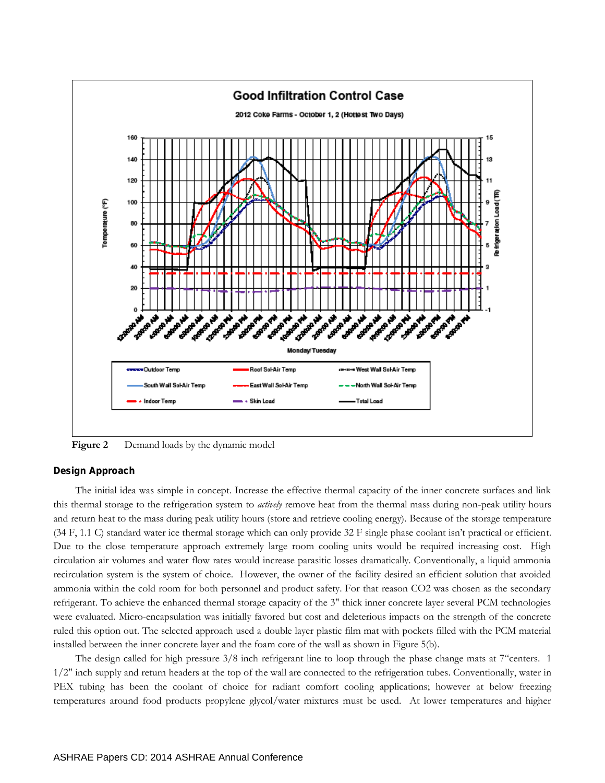

Figure 2 Demand loads by the dynamic model

Design Approach

The initial idea was simple in concept. Increase the effective thermal capacity of the inner concrete surfaces and link this thermal storage to the refrigeration system to *actively* remove heat from the thermal mass during non-peak utility hours and return heat to the mass during peak utility hours (store and retrieve cooling energy). Because of the storage temperature (34 F, 1.1 C) standard water ice thermal storage which can only provide 32 F single phase coolant isn't practical or efficient. Due to the close temperature approach extremely large room cooling units would be required increasing cost. High circulation air volumes and water flow rates would increase parasitic losses dramatically. Conventionally, a liquid ammonia recirculation system is the system of choice. However, the owner of the facility desired an efficient solution that avoided ammonia within the cold room for both personnel and product safety. For that reason CO2 was chosen as the secondary refrigerant. To achieve the enhanced thermal storage capacity of the 3" thick inner concrete layer several PCM technologies were evaluated. Micro-encapsulation was initially favored but cost and deleterious impacts on the strength of the concrete ruled this option out. The selected approach used a double layer plastic film mat with pockets filled with the PCM material installed between the inner concrete layer and the foam core of the wall as shown in Figure 5(b).

The design called for high pressure 3/8 inch refrigerant line to loop through the phase change mats at 7"centers. 1 1/2" inch supply and return headers at the top of the wall are connected to the refrigeration tubes. Conventionally, water in PEX tubing has been the coolant of choice for radiant comfort cooling applications; however at below freezing temperatures around food products propylene glycol/water mixtures must be used. At lower temperatures and higher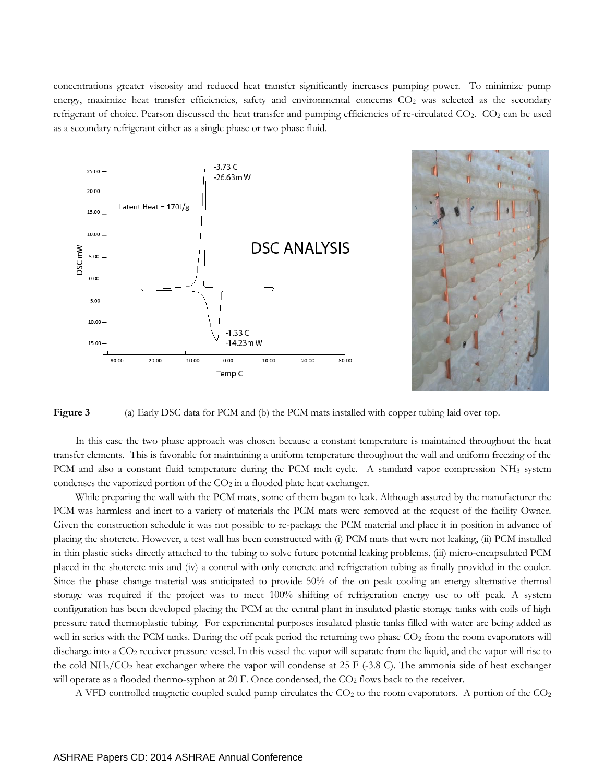concentrations greater viscosity and reduced heat transfer significantly increases pumping power. To minimize pump energy, maximize heat transfer efficiencies, safety and environmental concerns  $CO<sub>2</sub>$  was selected as the secondary refrigerant of choice. Pearson discussed the heat transfer and pumping efficiencies of re-circulated CO<sub>2</sub>. CO<sub>2</sub> can be used as a secondary refrigerant either as a single phase or two phase fluid.



**Figure 3** (a) Early DSC data for PCM and (b) the PCM mats installed with copper tubing laid over top.

In this case the two phase approach was chosen because a constant temperature is maintained throughout the heat transfer elements. This is favorable for maintaining a uniform temperature throughout the wall and uniform freezing of the PCM and also a constant fluid temperature during the PCM melt cycle. A standard vapor compression NH<sup>3</sup> system condenses the vaporized portion of the CO<sub>2</sub> in a flooded plate heat exchanger.

While preparing the wall with the PCM mats, some of them began to leak. Although assured by the manufacturer the PCM was harmless and inert to a variety of materials the PCM mats were removed at the request of the facility Owner. Given the construction schedule it was not possible to re-package the PCM material and place it in position in advance of placing the shotcrete. However, a test wall has been constructed with (i) PCM mats that were not leaking, (ii) PCM installed in thin plastic sticks directly attached to the tubing to solve future potential leaking problems, (iii) micro-encapsulated PCM placed in the shotcrete mix and (iv) a control with only concrete and refrigeration tubing as finally provided in the cooler. Since the phase change material was anticipated to provide 50% of the on peak cooling an energy alternative thermal storage was required if the project was to meet 100% shifting of refrigeration energy use to off peak. A system configuration has been developed placing the PCM at the central plant in insulated plastic storage tanks with coils of high pressure rated thermoplastic tubing. For experimental purposes insulated plastic tanks filled with water are being added as well in series with the PCM tanks. During the off peak period the returning two phase CO<sub>2</sub> from the room evaporators will discharge into a CO<sub>2</sub> receiver pressure vessel. In this vessel the vapor will separate from the liquid, and the vapor will rise to the cold  $NH<sub>3</sub>/CO<sub>2</sub>$  heat exchanger where the vapor will condense at 25 F (-3.8 C). The ammonia side of heat exchanger will operate as a flooded thermo-syphon at 20 F. Once condensed, the  $CO<sub>2</sub>$  flows back to the receiver.

A VFD controlled magnetic coupled sealed pump circulates the  $CO<sub>2</sub>$  to the room evaporators. A portion of the  $CO<sub>2</sub>$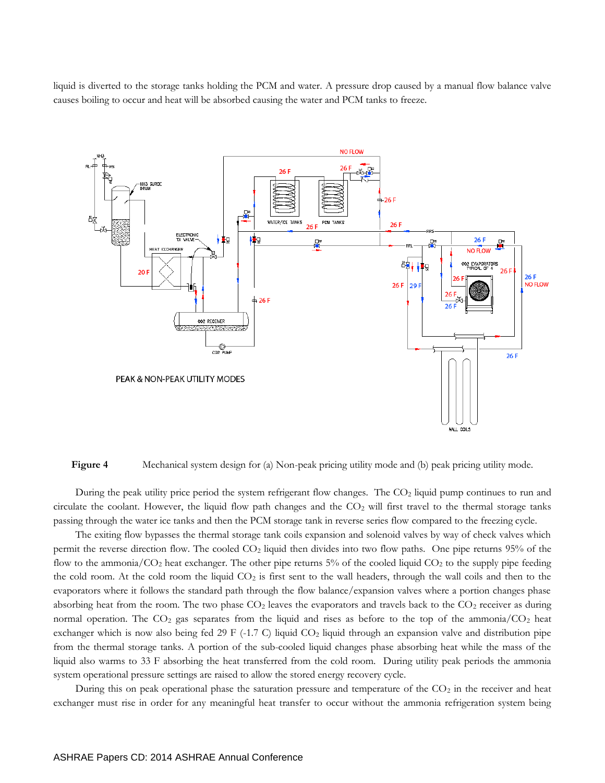liquid is diverted to the storage tanks holding the PCM and water. A pressure drop caused by a manual flow balance valve causes boiling to occur and heat will be absorbed causing the water and PCM tanks to freeze.



**Figure 4** Mechanical system design for (a) Non-peak pricing utility mode and (b) peak pricing utility mode.

During the peak utility price period the system refrigerant flow changes. The CO<sub>2</sub> liquid pump continues to run and circulate the coolant. However, the liquid flow path changes and the  $CO<sub>2</sub>$  will first travel to the thermal storage tanks passing through the water ice tanks and then the PCM storage tank in reverse series flow compared to the freezing cycle.

The exiting flow bypasses the thermal storage tank coils expansion and solenoid valves by way of check valves which permit the reverse direction flow. The cooled CO<sup>2</sup> liquid then divides into two flow paths. One pipe returns 95% of the flow to the ammonia/ $CO_2$  heat exchanger. The other pipe returns 5% of the cooled liquid  $CO_2$  to the supply pipe feeding the cold room. At the cold room the liquid  $CO_2$  is first sent to the wall headers, through the wall coils and then to the evaporators where it follows the standard path through the flow balance/expansion valves where a portion changes phase absorbing heat from the room. The two phase  $CO<sub>2</sub>$  leaves the evaporators and travels back to the  $CO<sub>2</sub>$  receiver as during normal operation. The  $CO_2$  gas separates from the liquid and rises as before to the top of the ammonia/ $CO_2$  heat exchanger which is now also being fed 29 F (-1.7 C) liquid CO<sub>2</sub> liquid through an expansion valve and distribution pipe from the thermal storage tanks. A portion of the sub-cooled liquid changes phase absorbing heat while the mass of the liquid also warms to 33 F absorbing the heat transferred from the cold room. During utility peak periods the ammonia system operational pressure settings are raised to allow the stored energy recovery cycle.

During this on peak operational phase the saturation pressure and temperature of the  $CO<sub>2</sub>$  in the receiver and heat exchanger must rise in order for any meaningful heat transfer to occur without the ammonia refrigeration system being